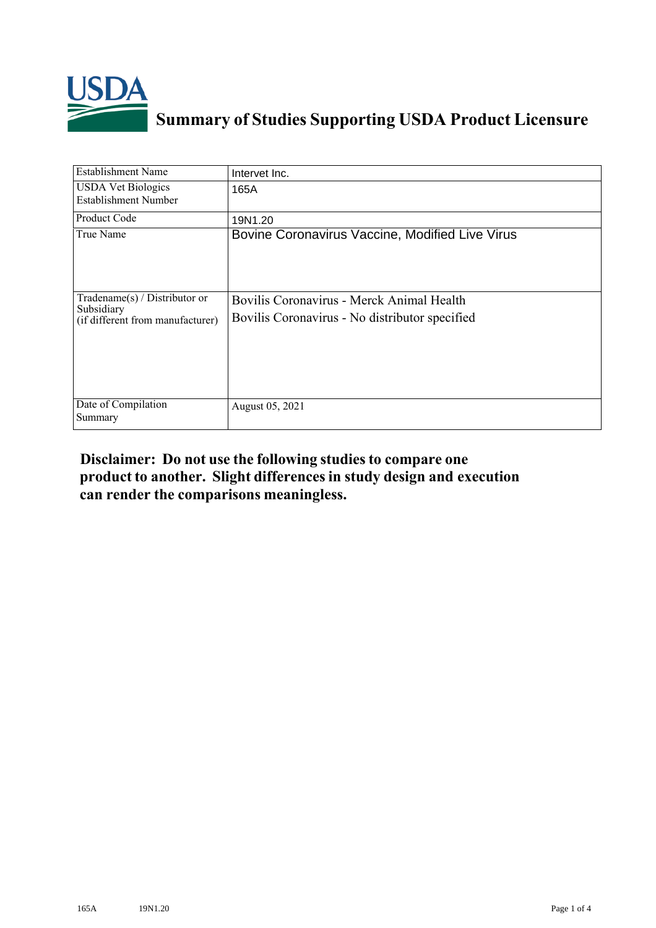

## **Summary of Studies Supporting USDA Product Licensure**

| <b>Establishment Name</b>                                                          | Intervet Inc.                                                                               |
|------------------------------------------------------------------------------------|---------------------------------------------------------------------------------------------|
| <b>USDA Vet Biologics</b><br><b>Establishment Number</b>                           | 165A                                                                                        |
| <b>Product Code</b>                                                                | 19N1.20                                                                                     |
| True Name                                                                          | Bovine Coronavirus Vaccine, Modified Live Virus                                             |
| Tradename $(s)$ / Distributor or<br>Subsidiary<br>(if different from manufacturer) | Bovilis Coronavirus - Merck Animal Health<br>Bovilis Coronavirus - No distributor specified |
| Date of Compilation<br>Summary                                                     | August 05, 2021                                                                             |

## **Disclaimer: Do not use the following studiesto compare one product to another. Slight differencesin study design and execution can render the comparisons meaningless.**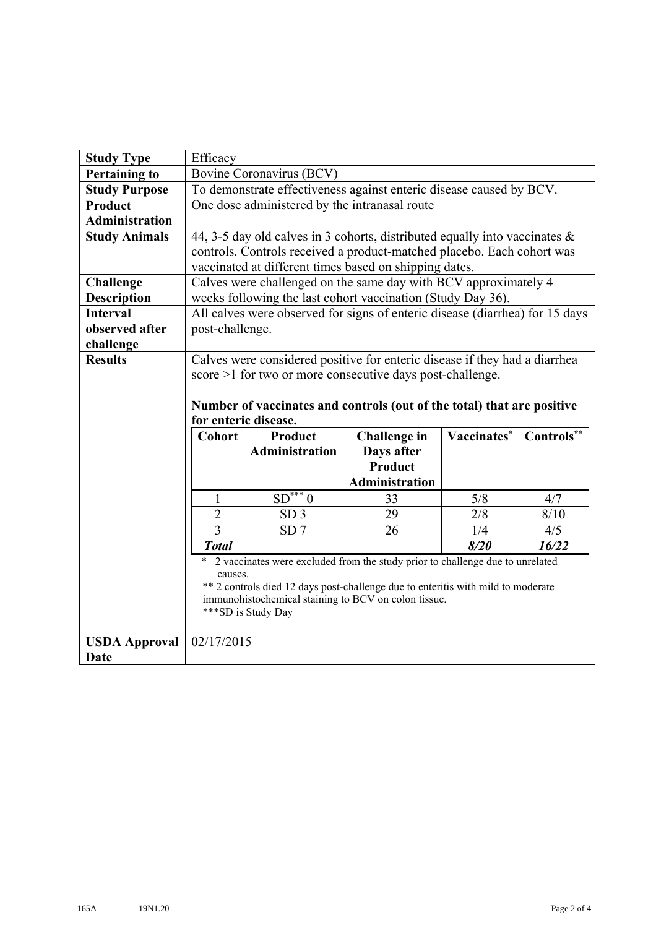| <b>Study Type</b>                   | Efficacy                                                                     |                                               |                                                                                  |             |            |  |  |  |
|-------------------------------------|------------------------------------------------------------------------------|-----------------------------------------------|----------------------------------------------------------------------------------|-------------|------------|--|--|--|
| <b>Pertaining to</b>                |                                                                              | Bovine Coronavirus (BCV)                      |                                                                                  |             |            |  |  |  |
| <b>Study Purpose</b>                |                                                                              |                                               | To demonstrate effectiveness against enteric disease caused by BCV.              |             |            |  |  |  |
| Product                             |                                                                              | One dose administered by the intranasal route |                                                                                  |             |            |  |  |  |
| <b>Administration</b>               |                                                                              |                                               |                                                                                  |             |            |  |  |  |
| <b>Study Animals</b>                |                                                                              |                                               | 44, 3-5 day old calves in 3 cohorts, distributed equally into vaccinates &       |             |            |  |  |  |
|                                     |                                                                              |                                               | controls. Controls received a product-matched placebo. Each cohort was           |             |            |  |  |  |
|                                     |                                                                              |                                               | vaccinated at different times based on shipping dates.                           |             |            |  |  |  |
| <b>Challenge</b>                    |                                                                              |                                               | Calves were challenged on the same day with BCV approximately 4                  |             |            |  |  |  |
| <b>Description</b>                  | weeks following the last cohort vaccination (Study Day 36).                  |                                               |                                                                                  |             |            |  |  |  |
| <b>Interval</b>                     | All calves were observed for signs of enteric disease (diarrhea) for 15 days |                                               |                                                                                  |             |            |  |  |  |
| observed after                      | post-challenge.                                                              |                                               |                                                                                  |             |            |  |  |  |
| challenge                           |                                                                              |                                               |                                                                                  |             |            |  |  |  |
| <b>Results</b>                      | Calves were considered positive for enteric disease if they had a diarrhea   |                                               |                                                                                  |             |            |  |  |  |
|                                     | score >1 for two or more consecutive days post-challenge.                    |                                               |                                                                                  |             |            |  |  |  |
|                                     |                                                                              |                                               |                                                                                  |             |            |  |  |  |
|                                     |                                                                              |                                               | Number of vaccinates and controls (out of the total) that are positive           |             |            |  |  |  |
|                                     |                                                                              |                                               |                                                                                  |             |            |  |  |  |
|                                     |                                                                              | for enteric disease.                          |                                                                                  |             |            |  |  |  |
|                                     | <b>Cohort</b>                                                                | <b>Product</b>                                | <b>Challenge in</b>                                                              | Vaccinates* | Controls** |  |  |  |
|                                     |                                                                              | Administration                                | Days after                                                                       |             |            |  |  |  |
|                                     |                                                                              |                                               | <b>Product</b>                                                                   |             |            |  |  |  |
|                                     |                                                                              |                                               | <b>Administration</b>                                                            |             |            |  |  |  |
|                                     | $\mathbf{1}$                                                                 | $SD***0$                                      | 33                                                                               | 5/8         | 4/7        |  |  |  |
|                                     | $\overline{2}$                                                               | SD <sub>3</sub>                               | 29                                                                               | 2/8         | 8/10       |  |  |  |
|                                     | 3                                                                            | SD <sub>7</sub>                               | 26                                                                               | 1/4         | 4/5        |  |  |  |
|                                     | <b>Total</b>                                                                 |                                               |                                                                                  | 8/20        | 16/22      |  |  |  |
|                                     | $\ast$                                                                       |                                               | 2 vaccinates were excluded from the study prior to challenge due to unrelated    |             |            |  |  |  |
|                                     | causes.                                                                      |                                               |                                                                                  |             |            |  |  |  |
|                                     |                                                                              |                                               | ** 2 controls died 12 days post-challenge due to enteritis with mild to moderate |             |            |  |  |  |
|                                     |                                                                              | ***SD is Study Day                            | immunohistochemical staining to BCV on colon tissue.                             |             |            |  |  |  |
|                                     |                                                                              |                                               |                                                                                  |             |            |  |  |  |
| <b>USDA Approval</b><br><b>Date</b> | 02/17/2015                                                                   |                                               |                                                                                  |             |            |  |  |  |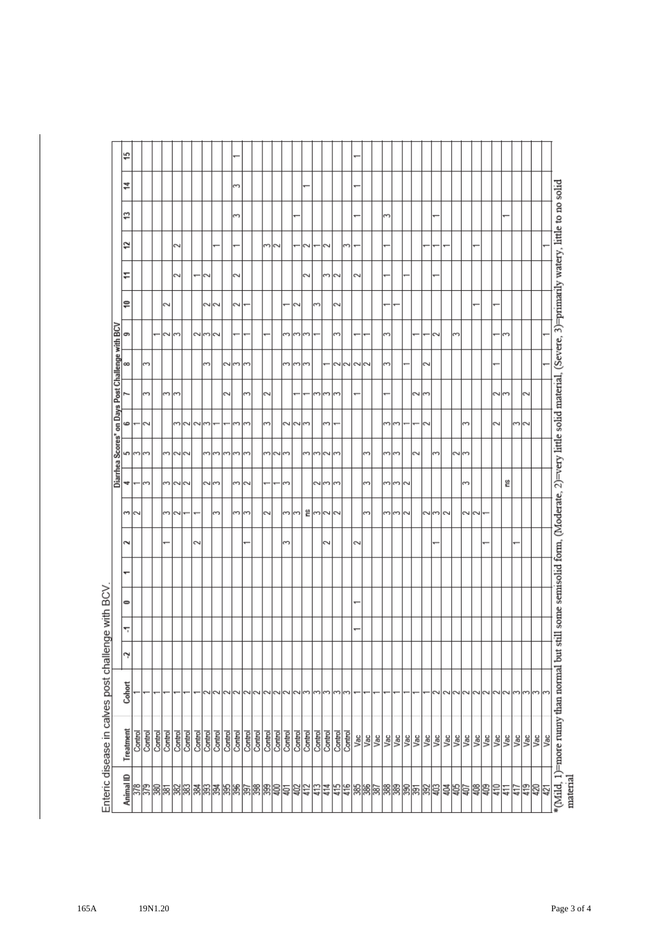| Treatment<br>Control |                    |    |   |   |   |        |                          | Diarrhea | Scores <sup>*</sup> |                  |                          | on Days Post Challenge with BCV |                          |        |                          |        |               |   |
|----------------------|--------------------|----|---|---|---|--------|--------------------------|----------|---------------------|------------------|--------------------------|---------------------------------|--------------------------|--------|--------------------------|--------|---------------|---|
|                      | Cohort             | L, | ٣ | 0 | ↽ | 2      | ⇔∣∾                      | 4        | م                   | ه                |                          | 8                               | 5                        | ₽      | ÷                        | 2      | ₽             | ₹ |
|                      |                    |    |   |   |   |        |                          | $\sim$   | $\frac{1}{2}$       | N                |                          | ∽                               |                          |        |                          |        |               |   |
| Control              |                    |    |   |   |   |        |                          |          |                     |                  | ్                        |                                 |                          |        |                          |        |               |   |
| Control<br>Control   |                    |    |   |   |   | ÷      | 3                        | 3        | 3                   |                  |                          |                                 | $\sim$                   | $\sim$ |                          |        |               |   |
| Control              |                    |    |   |   |   |        | N                        |          | 2                   |                  | ن إنت                    |                                 | $\sim$                   |        | 2                        | $\sim$ |               |   |
| Control              |                    |    |   |   |   |        |                          | $\sim$   | $\sim$              |                  |                          |                                 |                          |        |                          |        |               |   |
| Control              |                    |    |   |   |   | 2      | $\overline{\phantom{0}}$ |          |                     | ന  <b>N</b>  സ ന |                          |                                 |                          |        | $\overline{\phantom{0}}$ |        |               |   |
| Control              |                    |    |   |   |   |        |                          |          |                     |                  |                          | 3                               | പ്പപ്                    |        | $\sim$                   |        |               |   |
| Control              | N                  |    |   |   |   |        | 3                        | പന       | ო∣ო                 |                  |                          |                                 |                          | へに     |                          |        |               |   |
| Control              | 2                  |    |   |   |   |        |                          |          | 3                   |                  | 2                        |                                 |                          |        |                          |        |               |   |
| Control              | $\sim$             |    |   |   |   |        | 3                        | m M      | ξ                   | 3                |                          | പന                              | ÷                        | 2      | $\sim$                   |        | 3             | 3 |
| Control              | הור                |    |   |   |   |        | $\sim$                   |          | 3                   | $\sim$           | 3                        | ത                               |                          |        |                          |        |               |   |
| Control              |                    |    |   |   |   |        |                          |          |                     |                  |                          |                                 |                          |        |                          |        |               |   |
| Control              |                    |    |   |   |   |        | $\sim$                   |          |                     | $\sim$           | $\sim$                   |                                 |                          |        |                          |        |               |   |
| Control              | ∼ו∾                |    |   |   |   |        |                          |          | $\frac{1}{2}$       |                  |                          |                                 |                          |        |                          | m N    |               |   |
| Control              | $\sim$             |    |   |   |   | ξ      | 3                        | 3        | $\sim$              | MMM              |                          | 3                               | 3                        |        |                          |        |               |   |
| Control              | $\sim$             |    |   |   |   |        | $\sim$                   |          |                     |                  | $\overline{\phantom{0}}$ | ن ان                            | $\sim$                   | N      |                          |        |               |   |
| Control              | ణ                  |    |   |   |   |        |                          |          | ന                   |                  | $\overline{\phantom{0}}$ |                                 | $\overline{\mathcal{C}}$ |        | $\sim$                   | 2      |               |   |
| Control              | S                  |    |   |   |   |        | ≌∣ന∣ഢ                    |          | 3                   |                  |                          |                                 |                          | 3      |                          |        |               |   |
| Control              | 3                  |    |   |   |   | 2      |                          | سالت     | $\sim$              | 3                | ო ო                      | $\overline{}$                   |                          |        | 3                        | $\sim$ |               |   |
| Control              | $\sim$             |    |   |   |   |        | 2                        | $\sim$   | 3                   |                  | 3                        | הומ                             | 3                        | $\sim$ | $\sim$                   |        |               |   |
| Control              | ഩ                  |    |   |   |   |        |                          |          |                     |                  |                          |                                 |                          |        |                          | 3      |               |   |
| Vac                  |                    |    |   |   |   | $\sim$ |                          |          |                     |                  | ٠                        | $\sim$                          | $\overline{}$            |        | 2                        | ÷      | $\overline{}$ | ÷ |
| Vac                  |                    |    |   |   |   |        | 3                        | 3        | 3                   |                  |                          |                                 | ÷                        |        |                          |        |               |   |
| Vac                  |                    |    |   |   |   |        |                          |          |                     |                  |                          |                                 |                          |        |                          |        |               |   |
| Vac                  |                    |    |   |   |   |        | ന∣ന                      | m m      | ကကြ                 | ကကြ              |                          | 3                               | 3                        |        |                          |        | S             |   |
| Vac                  |                    |    |   |   |   |        |                          |          |                     |                  |                          |                                 |                          |        |                          |        |               |   |
| Vac                  |                    |    |   |   |   |        | $\sim$                   | $\sim$   |                     |                  |                          |                                 |                          |        |                          |        |               |   |
| <b>SPE</b>           |                    |    |   |   |   |        |                          |          | $\sim$              |                  | سالہ                     |                                 | $\overline{\phantom{0}}$ |        |                          |        |               |   |
|                      |                    |    |   |   |   |        | പ്പ                      |          |                     | $\sim$           |                          | $\sim$                          |                          |        |                          |        |               |   |
|                      | $\scriptstyle\sim$ |    |   |   |   |        |                          |          | 3                   |                  |                          |                                 | $\sim$                   |        |                          |        |               |   |
| <b>Vac</b>           | 2                  |    |   |   |   |        | $\sim$                   |          |                     |                  |                          |                                 |                          |        |                          | ÷      |               |   |
|                      | $\sim$             |    |   |   |   |        |                          |          | പ്പ                 |                  |                          |                                 | $\sim$                   |        |                          |        |               |   |
| Vac                  | $\sim$             |    |   |   |   |        | いい                       | $\sim$   |                     | $\sim$           |                          |                                 |                          |        |                          |        |               |   |
| Vac                  | $\sim$             |    |   |   |   |        |                          |          |                     |                  |                          |                                 |                          |        |                          |        |               |   |
| Vac                  | $\sim$             |    |   |   |   |        |                          |          |                     |                  |                          |                                 |                          |        |                          |        |               |   |
| Vac                  | N                  |    |   |   |   |        |                          |          |                     | $\sim$           | പ്പ                      |                                 |                          |        |                          |        |               |   |
| Vac                  | $\sim$             |    |   |   |   |        |                          | ٤        |                     |                  |                          |                                 | 3                        |        |                          |        |               |   |
| Vac                  | ຕ                  |    |   |   |   |        |                          |          |                     | ന∣പ              |                          |                                 |                          |        |                          |        |               |   |
| Vac                  | 5                  |    |   |   |   |        |                          |          |                     |                  | 2                        |                                 |                          |        |                          |        |               |   |
| Vac                  | $\sim$             |    |   |   |   |        |                          |          |                     |                  |                          |                                 |                          |        |                          |        |               |   |
| Vac                  | r                  |    |   |   |   |        |                          |          |                     |                  |                          |                                 |                          |        |                          |        |               |   |